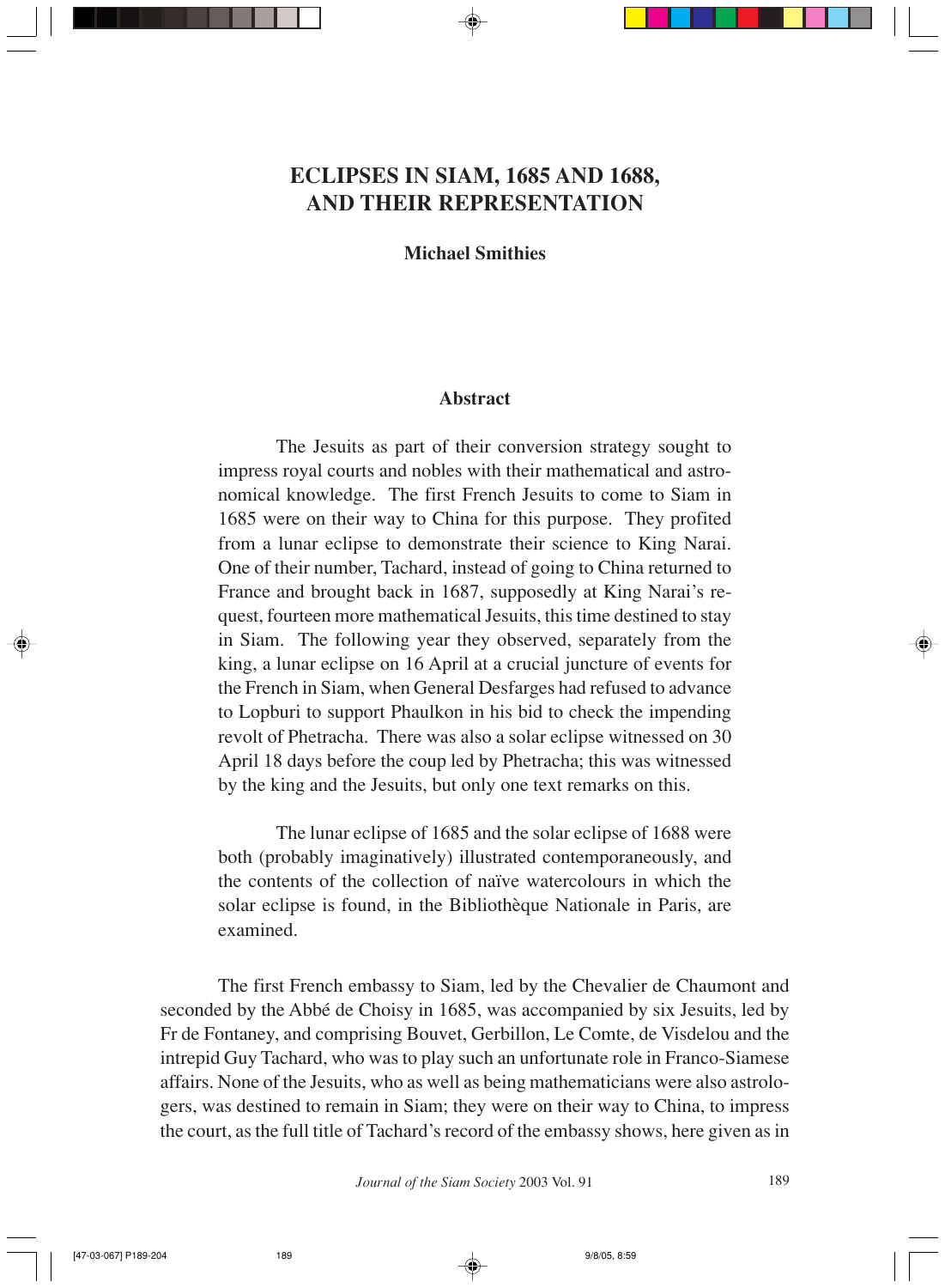# **ECLIPSES IN SIAM, 1685 AND 1688, AND THEIR REPRESENTATION**

**Michael Smithies**

## **Abstract**

The Jesuits as part of their conversion strategy sought to impress royal courts and nobles with their mathematical and astronomical knowledge. The first French Jesuits to come to Siam in 1685 were on their way to China for this purpose. They profited from a lunar eclipse to demonstrate their science to King Narai. One of their number, Tachard, instead of going to China returned to France and brought back in 1687, supposedly at King Narai's request, fourteen more mathematical Jesuits, this time destined to stay in Siam. The following year they observed, separately from the king, a lunar eclipse on 16 April at a crucial juncture of events for the French in Siam, when General Desfarges had refused to advance to Lopburi to support Phaulkon in his bid to check the impending revolt of Phetracha. There was also a solar eclipse witnessed on 30 April 18 days before the coup led by Phetracha; this was witnessed by the king and the Jesuits, but only one text remarks on this.

The lunar eclipse of 1685 and the solar eclipse of 1688 were both (probably imaginatively) illustrated contemporaneously, and the contents of the collection of naïve watercolours in which the solar eclipse is found, in the Bibliothèque Nationale in Paris, are examined.

The first French embassy to Siam, led by the Chevalier de Chaumont and seconded by the Abbé de Choisy in 1685, was accompanied by six Jesuits, led by Fr de Fontaney, and comprising Bouvet, Gerbillon, Le Comte, de Visdelou and the intrepid Guy Tachard, who was to play such an unfortunate role in Franco-Siamese affairs. None of the Jesuits, who as well as being mathematicians were also astrologers, was destined to remain in Siam; they were on their way to China, to impress the court, as the full title of Tachard's record of the embassy shows, here given as in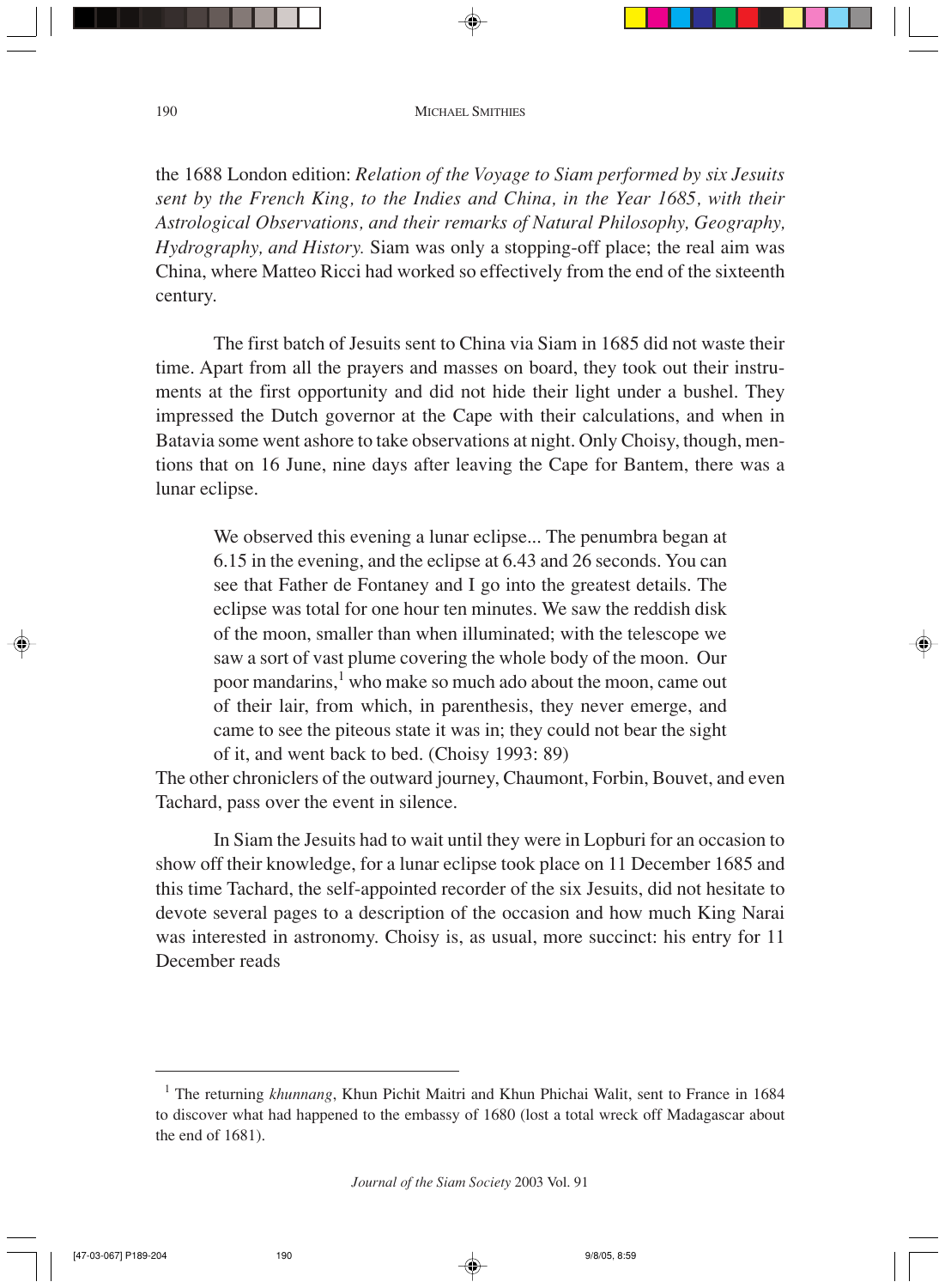190 MICHAEL SMITHIES

the 1688 London edition: *Relation of the Voyage to Siam performed by six Jesuits sent by the French King, to the Indies and China, in the Year 1685, with their Astrological Observations, and their remarks of Natural Philosophy, Geography, Hydrography, and History.* Siam was only a stopping-off place; the real aim was China, where Matteo Ricci had worked so effectively from the end of the sixteenth century.

The first batch of Jesuits sent to China via Siam in 1685 did not waste their time. Apart from all the prayers and masses on board, they took out their instruments at the first opportunity and did not hide their light under a bushel. They impressed the Dutch governor at the Cape with their calculations, and when in Batavia some went ashore to take observations at night. Only Choisy, though, mentions that on 16 June, nine days after leaving the Cape for Bantem, there was a lunar eclipse.

We observed this evening a lunar eclipse... The penumbra began at 6.15 in the evening, and the eclipse at 6.43 and 26 seconds. You can see that Father de Fontaney and I go into the greatest details. The eclipse was total for one hour ten minutes. We saw the reddish disk of the moon, smaller than when illuminated; with the telescope we saw a sort of vast plume covering the whole body of the moon. Our poor mandarins,<sup>1</sup> who make so much ado about the moon, came out of their lair, from which, in parenthesis, they never emerge, and came to see the piteous state it was in; they could not bear the sight of it, and went back to bed. (Choisy 1993: 89)

The other chroniclers of the outward journey, Chaumont, Forbin, Bouvet, and even Tachard, pass over the event in silence.

In Siam the Jesuits had to wait until they were in Lopburi for an occasion to show off their knowledge, for a lunar eclipse took place on 11 December 1685 and this time Tachard, the self-appointed recorder of the six Jesuits, did not hesitate to devote several pages to a description of the occasion and how much King Narai was interested in astronomy. Choisy is, as usual, more succinct: his entry for 11 December reads

<sup>&</sup>lt;sup>1</sup> The returning *khunnang*, Khun Pichit Maitri and Khun Phichai Walit, sent to France in 1684 to discover what had happened to the embassy of 1680 (lost a total wreck off Madagascar about the end of 1681).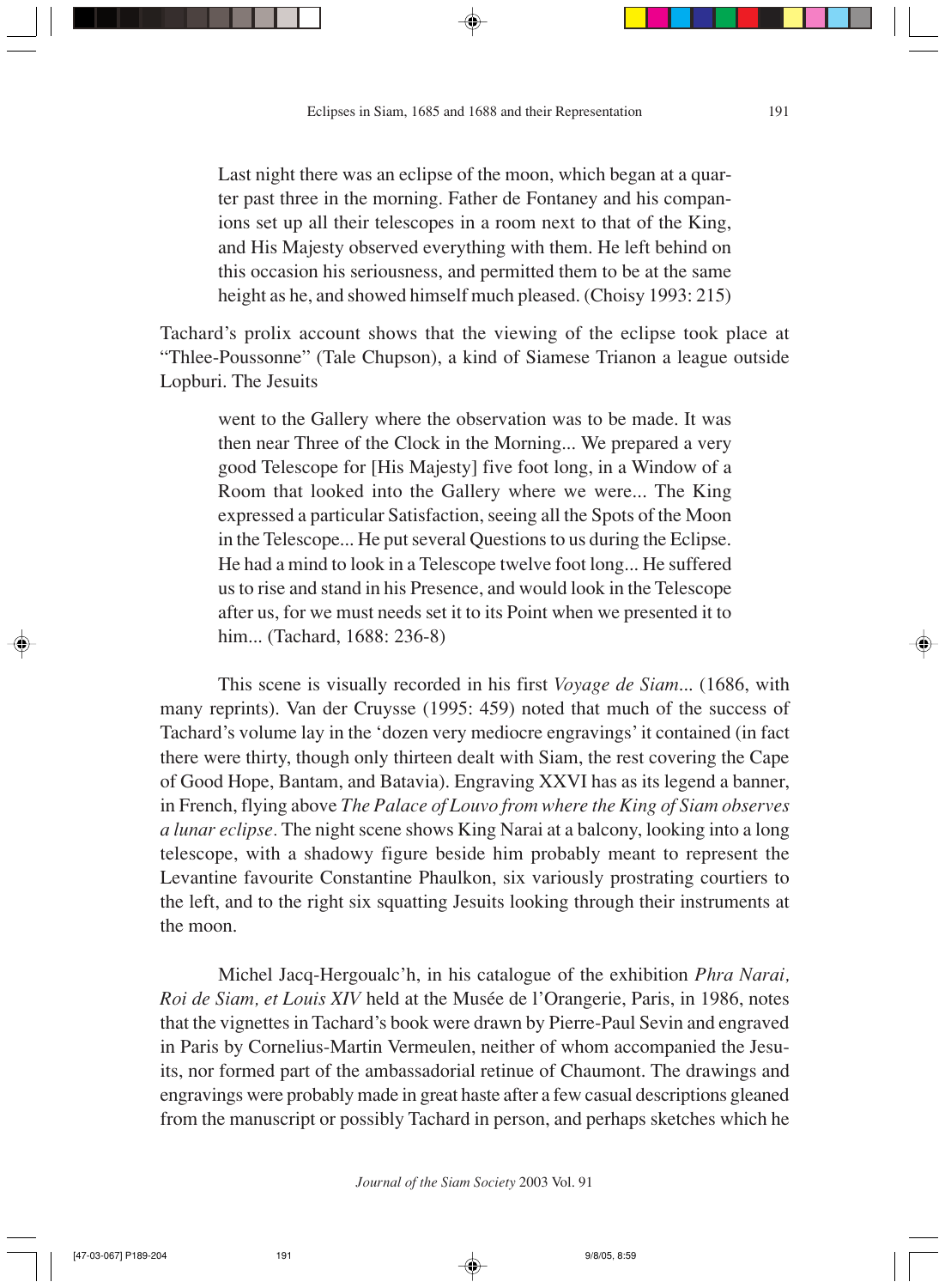Last night there was an eclipse of the moon, which began at a quarter past three in the morning. Father de Fontaney and his companions set up all their telescopes in a room next to that of the King, and His Majesty observed everything with them. He left behind on this occasion his seriousness, and permitted them to be at the same height as he, and showed himself much pleased. (Choisy 1993: 215)

Tachard's prolix account shows that the viewing of the eclipse took place at "Thlee-Poussonne" (Tale Chupson), a kind of Siamese Trianon a league outside Lopburi. The Jesuits

went to the Gallery where the observation was to be made. It was then near Three of the Clock in the Morning... We prepared a very good Telescope for [His Majesty] five foot long, in a Window of a Room that looked into the Gallery where we were... The King expressed a particular Satisfaction, seeing all the Spots of the Moon in the Telescope... He put several Questions to us during the Eclipse. He had a mind to look in a Telescope twelve foot long... He suffered us to rise and stand in his Presence, and would look in the Telescope after us, for we must needs set it to its Point when we presented it to him... (Tachard, 1688: 236-8)

This scene is visually recorded in his first *Voyage de Siam*... (1686, with many reprints). Van der Cruysse (1995: 459) noted that much of the success of Tachard's volume lay in the 'dozen very mediocre engravings' it contained (in fact there were thirty, though only thirteen dealt with Siam, the rest covering the Cape of Good Hope, Bantam, and Batavia). Engraving XXVI has as its legend a banner, in French, flying above *The Palace of Louvo from where the King of Siam observes a lunar eclipse.* The night scene shows King Narai at a balcony, looking into a long telescope, with a shadowy figure beside him probably meant to represent the Levantine favourite Constantine Phaulkon, six variously prostrating courtiers to the left, and to the right six squatting Jesuits looking through their instruments at the moon.

Michel Jacq-Hergoualc'h, in his catalogue of the exhibition *Phra Narai, Roi de Siam, et Louis XIV* held at the Musée de l'Orangerie, Paris, in 1986, notes that the vignettes in Tachard's book were drawn by Pierre-Paul Sevin and engraved in Paris by Cornelius-Martin Vermeulen, neither of whom accompanied the Jesuits, nor formed part of the ambassadorial retinue of Chaumont. The drawings and engravings were probably made in great haste after a few casual descriptions gleaned from the manuscript or possibly Tachard in person, and perhaps sketches which he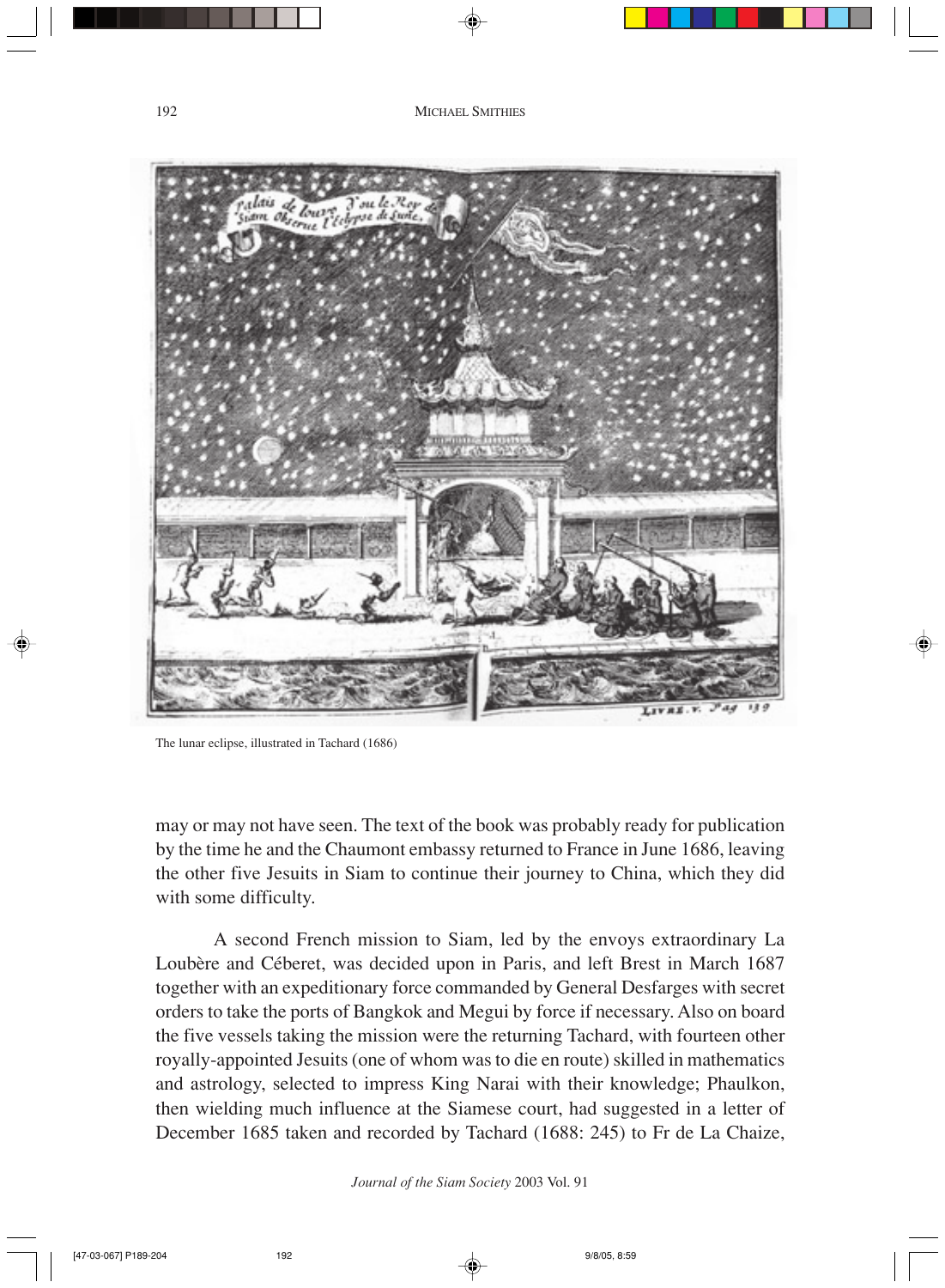192 MICHAEL SMITHIES



The lunar eclipse, illustrated in Tachard (1686)

may or may not have seen. The text of the book was probably ready for publication by the time he and the Chaumont embassy returned to France in June 1686, leaving the other five Jesuits in Siam to continue their journey to China, which they did with some difficulty.

A second French mission to Siam, led by the envoys extraordinary La Loubère and Céberet, was decided upon in Paris, and left Brest in March 1687 together with an expeditionary force commanded by General Desfarges with secret orders to take the ports of Bangkok and Megui by force if necessary. Also on board the five vessels taking the mission were the returning Tachard, with fourteen other royally-appointed Jesuits (one of whom was to die en route) skilled in mathematics and astrology, selected to impress King Narai with their knowledge; Phaulkon, then wielding much influence at the Siamese court, had suggested in a letter of December 1685 taken and recorded by Tachard (1688: 245) to Fr de La Chaize,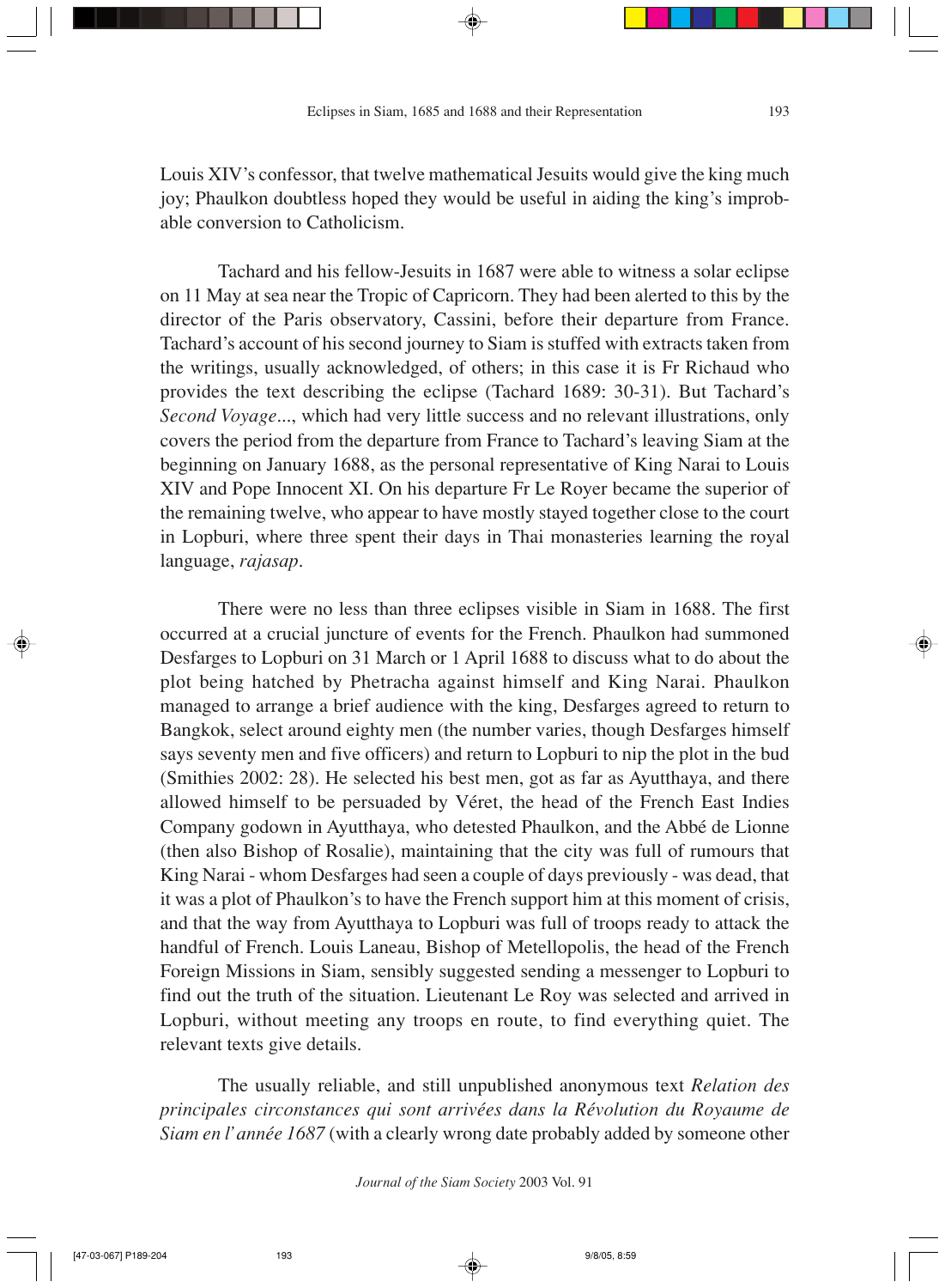Louis XIV's confessor, that twelve mathematical Jesuits would give the king much joy; Phaulkon doubtless hoped they would be useful in aiding the king's improbable conversion to Catholicism.

Tachard and his fellow-Jesuits in 1687 were able to witness a solar eclipse on 11 May at sea near the Tropic of Capricorn. They had been alerted to this by the director of the Paris observatory, Cassini, before their departure from France. Tachard's account of his second journey to Siam is stuffed with extracts taken from the writings, usually acknowledged, of others; in this case it is Fr Richaud who provides the text describing the eclipse (Tachard 1689: 30-31). But Tachard's *Second Voyage*..., which had very little success and no relevant illustrations, only covers the period from the departure from France to Tachard's leaving Siam at the beginning on January 1688, as the personal representative of King Narai to Louis XIV and Pope Innocent XI. On his departure Fr Le Royer became the superior of the remaining twelve, who appear to have mostly stayed together close to the court in Lopburi, where three spent their days in Thai monasteries learning the royal language, *rajasap*.

There were no less than three eclipses visible in Siam in 1688. The first occurred at a crucial juncture of events for the French. Phaulkon had summoned Desfarges to Lopburi on 31 March or 1 April 1688 to discuss what to do about the plot being hatched by Phetracha against himself and King Narai. Phaulkon managed to arrange a brief audience with the king, Desfarges agreed to return to Bangkok, select around eighty men (the number varies, though Desfarges himself says seventy men and five officers) and return to Lopburi to nip the plot in the bud (Smithies 2002: 28). He selected his best men, got as far as Ayutthaya, and there allowed himself to be persuaded by Véret, the head of the French East Indies Company godown in Ayutthaya, who detested Phaulkon, and the Abbé de Lionne (then also Bishop of Rosalie), maintaining that the city was full of rumours that King Narai - whom Desfarges had seen a couple of days previously - was dead, that it was a plot of Phaulkon's to have the French support him at this moment of crisis, and that the way from Ayutthaya to Lopburi was full of troops ready to attack the handful of French. Louis Laneau, Bishop of Metellopolis, the head of the French Foreign Missions in Siam, sensibly suggested sending a messenger to Lopburi to find out the truth of the situation. Lieutenant Le Roy was selected and arrived in Lopburi, without meeting any troops en route, to find everything quiet. The relevant texts give details.

The usually reliable, and still unpublished anonymous text *Relation des principales circonstances qui sont arrivées dans la Révolution du Royaume de Siam en l'année 1687* (with a clearly wrong date probably added by someone other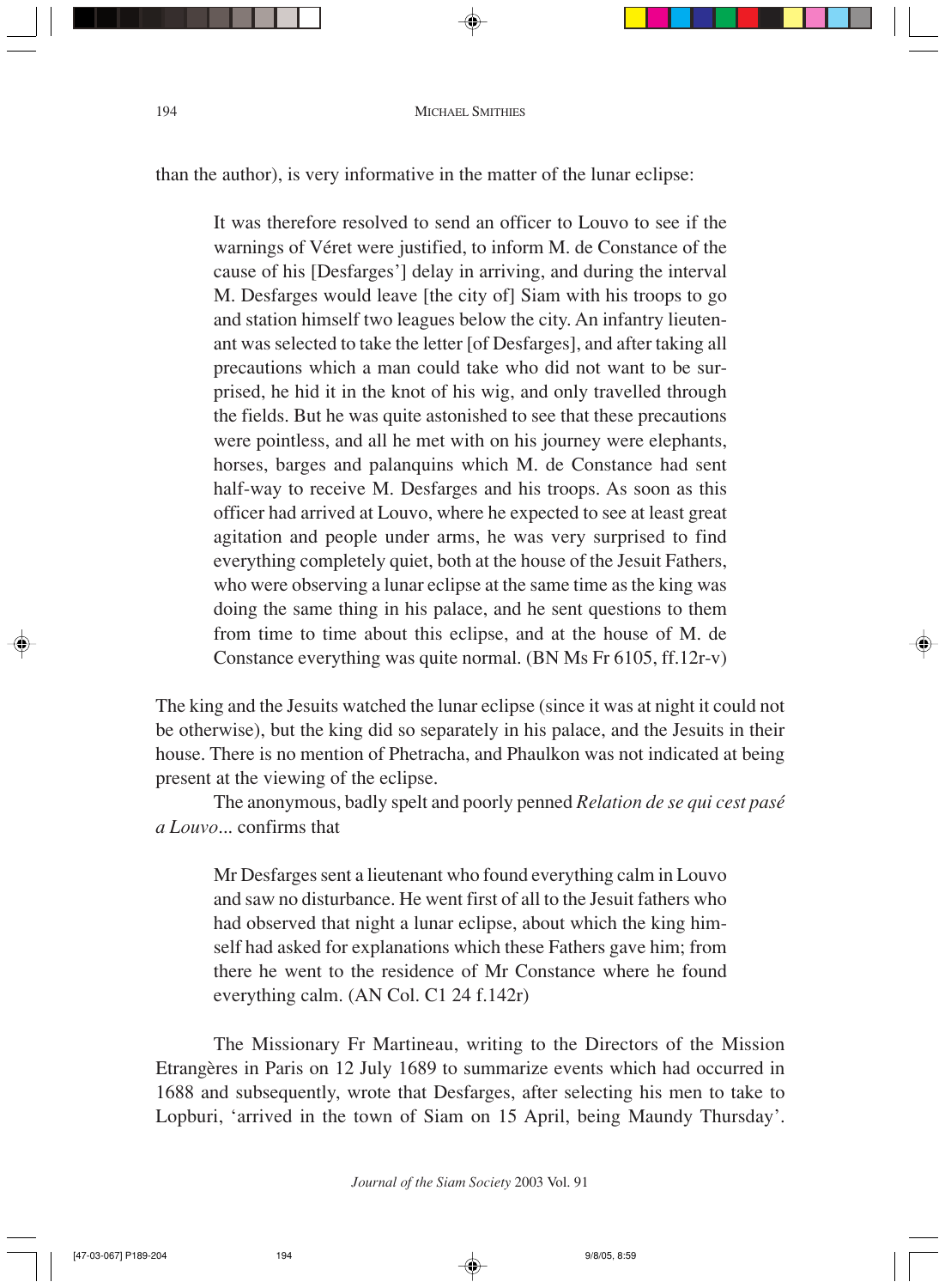than the author), is very informative in the matter of the lunar eclipse:

It was therefore resolved to send an officer to Louvo to see if the warnings of Véret were justified, to inform M. de Constance of the cause of his [Desfarges'] delay in arriving, and during the interval M. Desfarges would leave [the city of] Siam with his troops to go and station himself two leagues below the city. An infantry lieutenant was selected to take the letter [of Desfarges], and after taking all precautions which a man could take who did not want to be surprised, he hid it in the knot of his wig, and only travelled through the fields. But he was quite astonished to see that these precautions were pointless, and all he met with on his journey were elephants, horses, barges and palanquins which M. de Constance had sent half-way to receive M. Desfarges and his troops. As soon as this officer had arrived at Louvo, where he expected to see at least great agitation and people under arms, he was very surprised to find everything completely quiet, both at the house of the Jesuit Fathers, who were observing a lunar eclipse at the same time as the king was doing the same thing in his palace, and he sent questions to them from time to time about this eclipse, and at the house of M. de Constance everything was quite normal. (BN Ms Fr 6105, ff.12r-v)

The king and the Jesuits watched the lunar eclipse (since it was at night it could not be otherwise), but the king did so separately in his palace, and the Jesuits in their house. There is no mention of Phetracha, and Phaulkon was not indicated at being present at the viewing of the eclipse.

The anonymous, badly spelt and poorly penned *Relation de se qui cest pasé a Louvo*... confirms that

Mr Desfarges sent a lieutenant who found everything calm in Louvo and saw no disturbance. He went first of all to the Jesuit fathers who had observed that night a lunar eclipse, about which the king himself had asked for explanations which these Fathers gave him; from there he went to the residence of Mr Constance where he found everything calm. (AN Col. C1 24 f.142r)

The Missionary Fr Martineau, writing to the Directors of the Mission Etrangères in Paris on 12 July 1689 to summarize events which had occurred in 1688 and subsequently, wrote that Desfarges, after selecting his men to take to Lopburi, 'arrived in the town of Siam on 15 April, being Maundy Thursday'.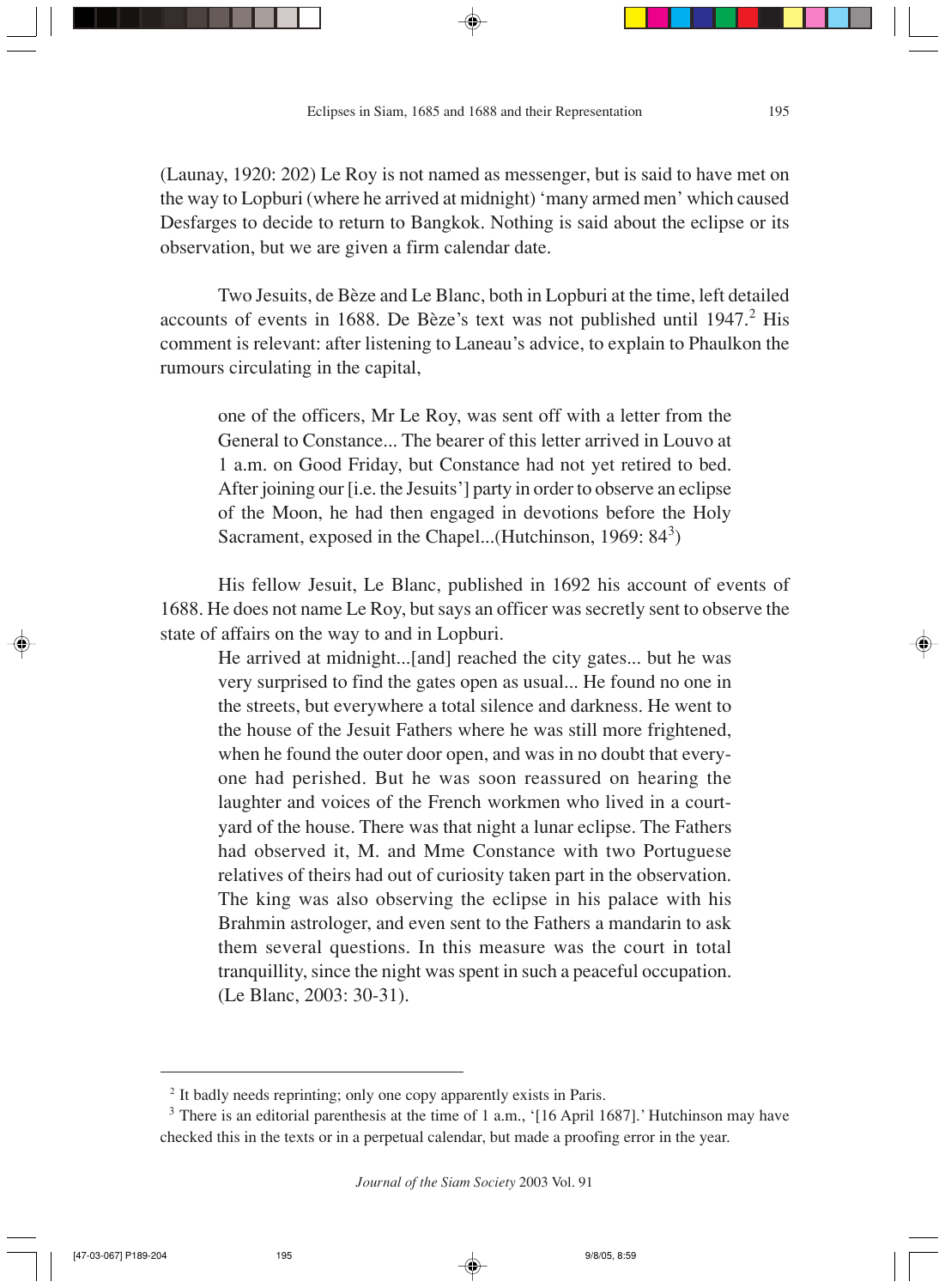#### Eclipses in Siam, 1685 and 1688 and their Representation 195

(Launay, 1920: 202) Le Roy is not named as messenger, but is said to have met on the way to Lopburi (where he arrived at midnight) 'many armed men' which caused Desfarges to decide to return to Bangkok. Nothing is said about the eclipse or its observation, but we are given a firm calendar date.

Two Jesuits, de Bèze and Le Blanc, both in Lopburi at the time, left detailed accounts of events in 1688. De Bèze's text was not published until  $1947<sup>2</sup>$  His comment is relevant: after listening to Laneau's advice, to explain to Phaulkon the rumours circulating in the capital,

one of the officers, Mr Le Roy, was sent off with a letter from the General to Constance... The bearer of this letter arrived in Louvo at 1 a.m. on Good Friday, but Constance had not yet retired to bed. After joining our [i.e. the Jesuits'] party in order to observe an eclipse of the Moon, he had then engaged in devotions before the Holy Sacrament, exposed in the Chapel...(Hutchinson, 1969: 84<sup>3</sup>)

His fellow Jesuit, Le Blanc, published in 1692 his account of events of 1688. He does not name Le Roy, but says an officer was secretly sent to observe the state of affairs on the way to and in Lopburi.

He arrived at midnight...[and] reached the city gates... but he was very surprised to find the gates open as usual... He found no one in the streets, but everywhere a total silence and darkness. He went to the house of the Jesuit Fathers where he was still more frightened, when he found the outer door open, and was in no doubt that everyone had perished. But he was soon reassured on hearing the laughter and voices of the French workmen who lived in a courtyard of the house. There was that night a lunar eclipse. The Fathers had observed it, M. and Mme Constance with two Portuguese relatives of theirs had out of curiosity taken part in the observation. The king was also observing the eclipse in his palace with his Brahmin astrologer, and even sent to the Fathers a mandarin to ask them several questions. In this measure was the court in total tranquillity, since the night was spent in such a peaceful occupation. (Le Blanc, 2003: 30-31).

<sup>&</sup>lt;sup>2</sup> It badly needs reprinting; only one copy apparently exists in Paris.

 $3$  There is an editorial parenthesis at the time of 1 a.m., '[16 April 1687].' Hutchinson may have checked this in the texts or in a perpetual calendar, but made a proofing error in the year.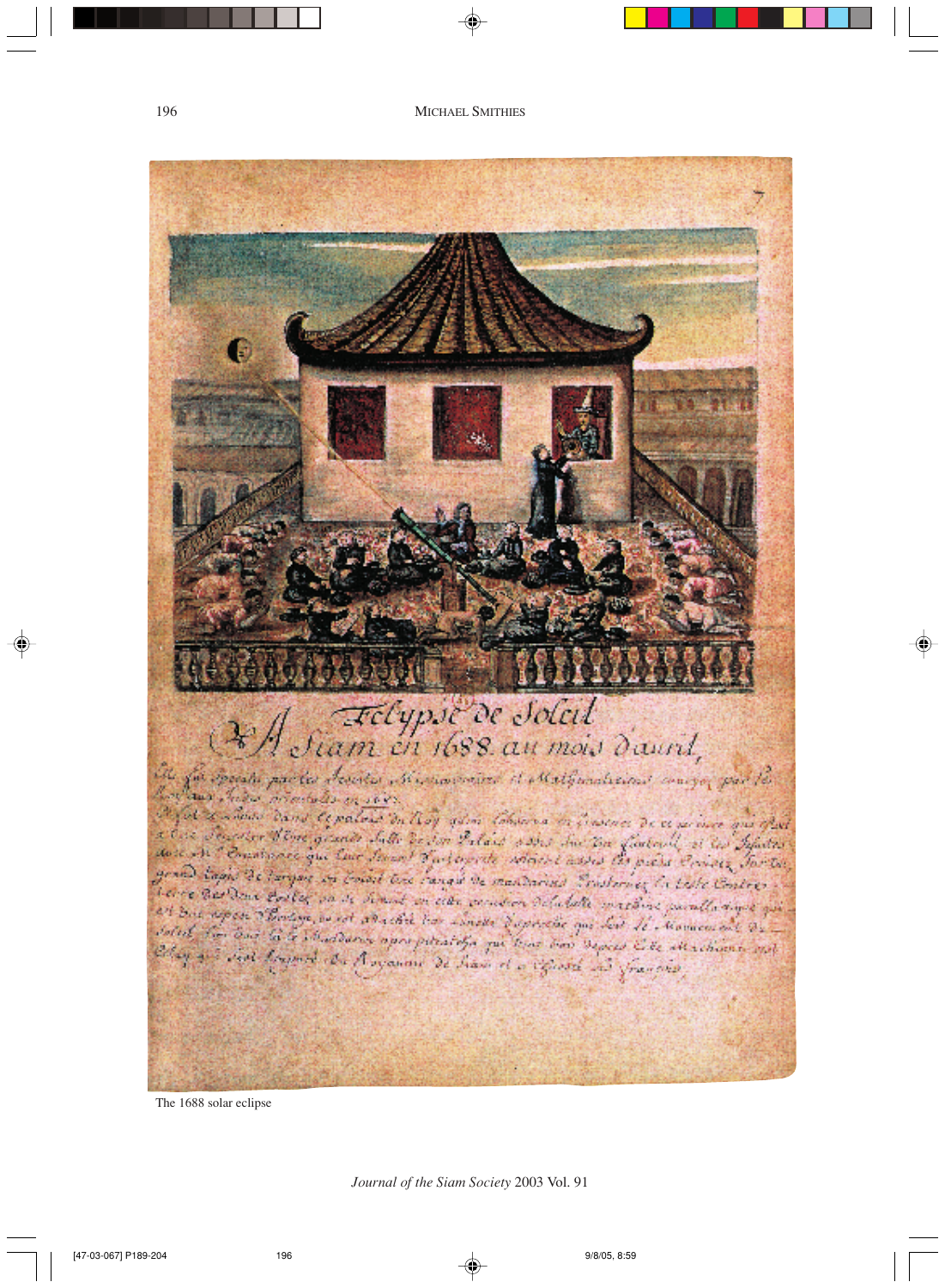

The 1688 solar eclipse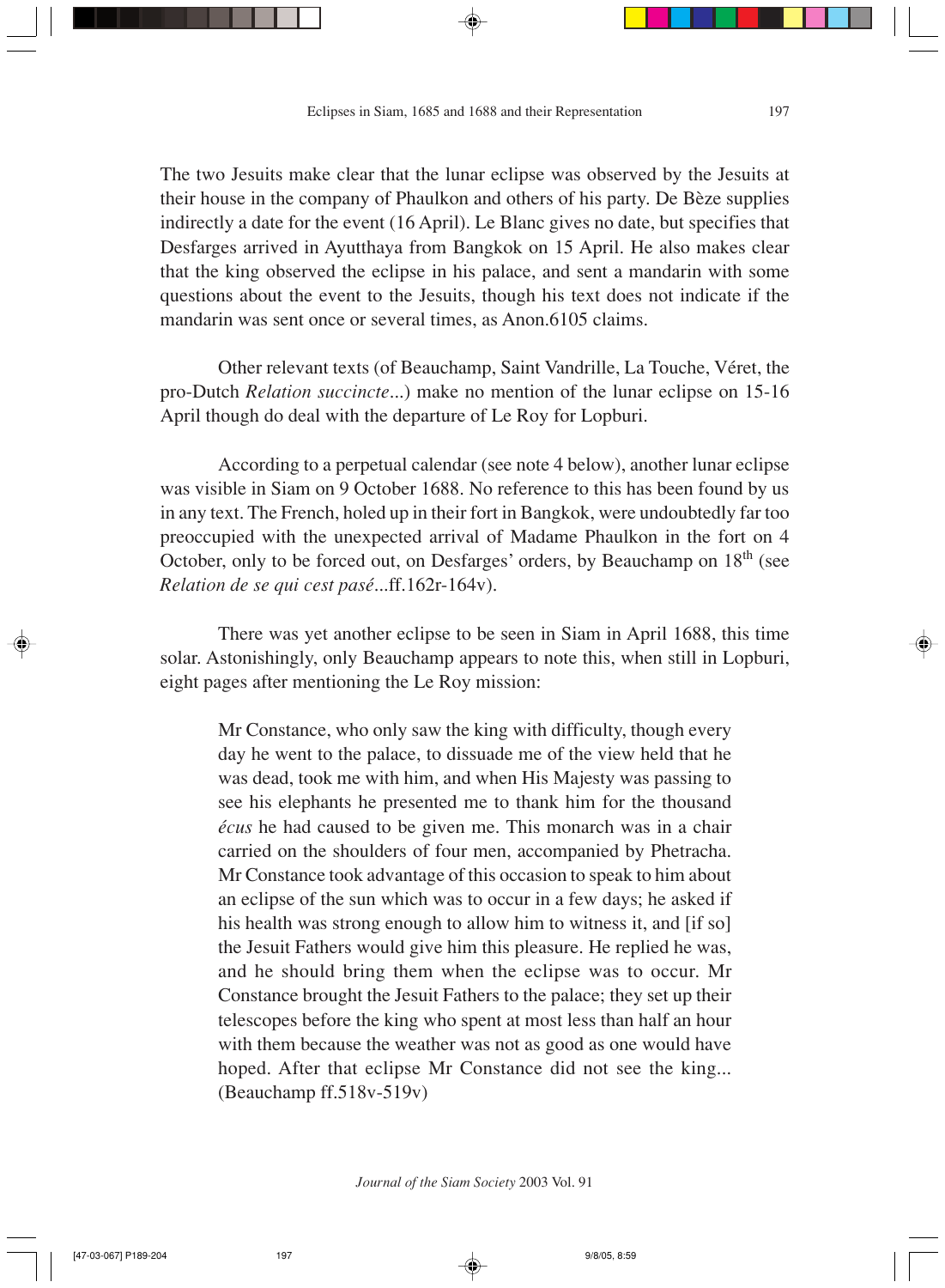The two Jesuits make clear that the lunar eclipse was observed by the Jesuits at their house in the company of Phaulkon and others of his party. De Bèze supplies indirectly a date for the event (16 April). Le Blanc gives no date, but specifies that Desfarges arrived in Ayutthaya from Bangkok on 15 April. He also makes clear that the king observed the eclipse in his palace, and sent a mandarin with some questions about the event to the Jesuits, though his text does not indicate if the mandarin was sent once or several times, as Anon.6105 claims.

Other relevant texts (of Beauchamp, Saint Vandrille, La Touche, Véret, the pro-Dutch *Relation succincte*...) make no mention of the lunar eclipse on 15-16 April though do deal with the departure of Le Roy for Lopburi.

According to a perpetual calendar (see note 4 below), another lunar eclipse was visible in Siam on 9 October 1688. No reference to this has been found by us in any text. The French, holed up in their fort in Bangkok, were undoubtedly far too preoccupied with the unexpected arrival of Madame Phaulkon in the fort on 4 October, only to be forced out, on Desfarges' orders, by Beauchamp on 18<sup>th</sup> (see *Relation de se qui cest pasé*...ff.162r-164v).

There was yet another eclipse to be seen in Siam in April 1688, this time solar. Astonishingly, only Beauchamp appears to note this, when still in Lopburi, eight pages after mentioning the Le Roy mission:

Mr Constance, who only saw the king with difficulty, though every day he went to the palace, to dissuade me of the view held that he was dead, took me with him, and when His Majesty was passing to see his elephants he presented me to thank him for the thousand *écus* he had caused to be given me. This monarch was in a chair carried on the shoulders of four men, accompanied by Phetracha. Mr Constance took advantage of this occasion to speak to him about an eclipse of the sun which was to occur in a few days; he asked if his health was strong enough to allow him to witness it, and [if so] the Jesuit Fathers would give him this pleasure. He replied he was, and he should bring them when the eclipse was to occur. Mr Constance brought the Jesuit Fathers to the palace; they set up their telescopes before the king who spent at most less than half an hour with them because the weather was not as good as one would have hoped. After that eclipse Mr Constance did not see the king... (Beauchamp ff.518v-519v)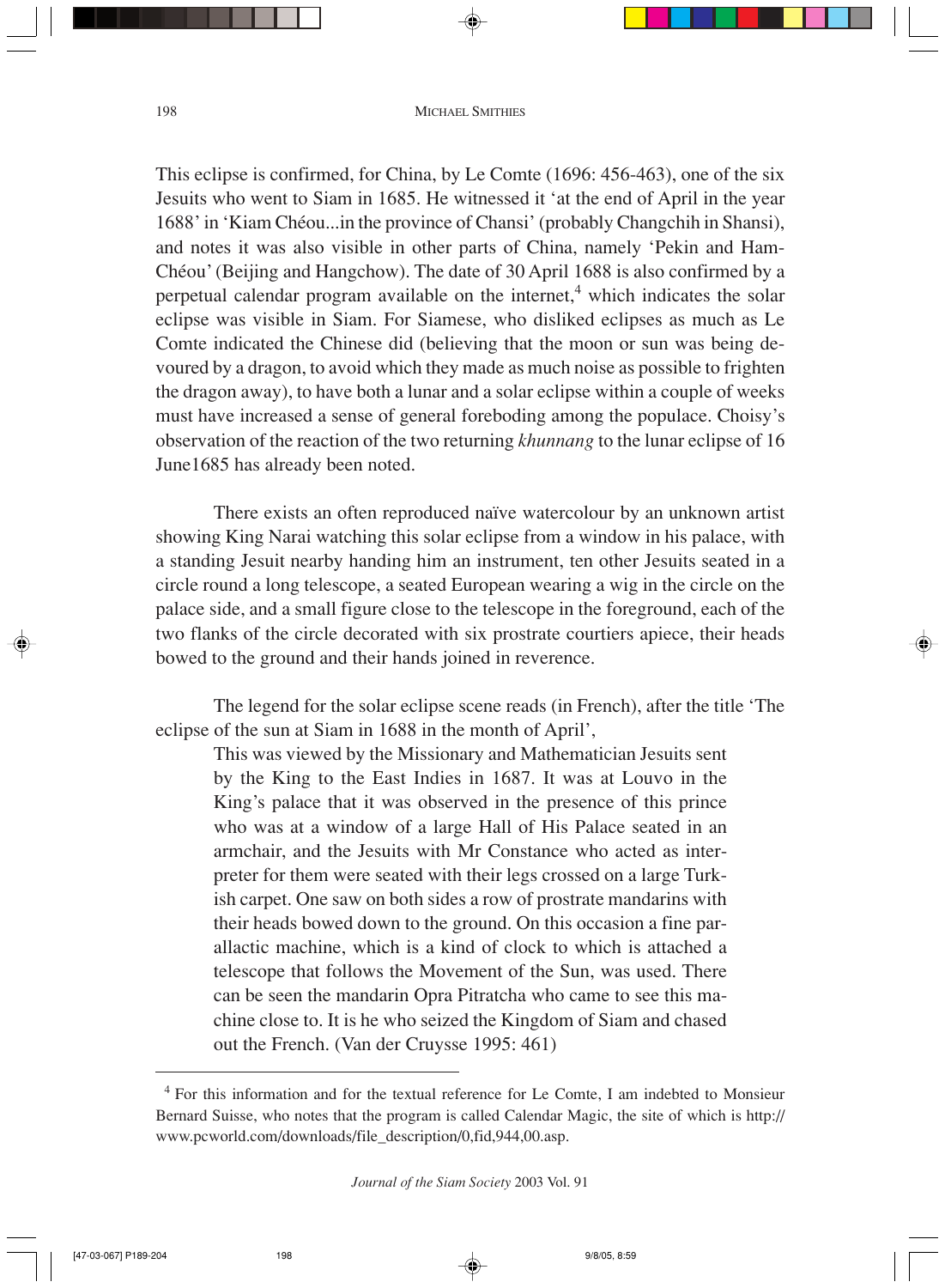This eclipse is confirmed, for China, by Le Comte (1696: 456-463), one of the six Jesuits who went to Siam in 1685. He witnessed it 'at the end of April in the year 1688' in 'Kiam Chéou...in the province of Chansi' (probably Changchih in Shansi), and notes it was also visible in other parts of China, namely 'Pekin and Ham-Chéou' (Beijing and Hangchow). The date of 30 April 1688 is also confirmed by a perpetual calendar program available on the internet,<sup>4</sup> which indicates the solar eclipse was visible in Siam. For Siamese, who disliked eclipses as much as Le Comte indicated the Chinese did (believing that the moon or sun was being devoured by a dragon, to avoid which they made as much noise as possible to frighten the dragon away), to have both a lunar and a solar eclipse within a couple of weeks must have increased a sense of general foreboding among the populace. Choisy's observation of the reaction of the two returning *khunnang* to the lunar eclipse of 16 June1685 has already been noted.

There exists an often reproduced naïve watercolour by an unknown artist showing King Narai watching this solar eclipse from a window in his palace, with a standing Jesuit nearby handing him an instrument, ten other Jesuits seated in a circle round a long telescope, a seated European wearing a wig in the circle on the palace side, and a small figure close to the telescope in the foreground, each of the two flanks of the circle decorated with six prostrate courtiers apiece, their heads bowed to the ground and their hands joined in reverence.

The legend for the solar eclipse scene reads (in French), after the title 'The eclipse of the sun at Siam in 1688 in the month of April',

This was viewed by the Missionary and Mathematician Jesuits sent by the King to the East Indies in 1687. It was at Louvo in the King's palace that it was observed in the presence of this prince who was at a window of a large Hall of His Palace seated in an armchair, and the Jesuits with Mr Constance who acted as interpreter for them were seated with their legs crossed on a large Turkish carpet. One saw on both sides a row of prostrate mandarins with their heads bowed down to the ground. On this occasion a fine parallactic machine, which is a kind of clock to which is attached a telescope that follows the Movement of the Sun, was used. There can be seen the mandarin Opra Pitratcha who came to see this machine close to. It is he who seized the Kingdom of Siam and chased out the French. (Van der Cruysse 1995: 461)

<sup>4</sup> For this information and for the textual reference for Le Comte, I am indebted to Monsieur Bernard Suisse, who notes that the program is called Calendar Magic, the site of which is http:// www.pcworld.com/downloads/file\_description/0,fid,944,00.asp.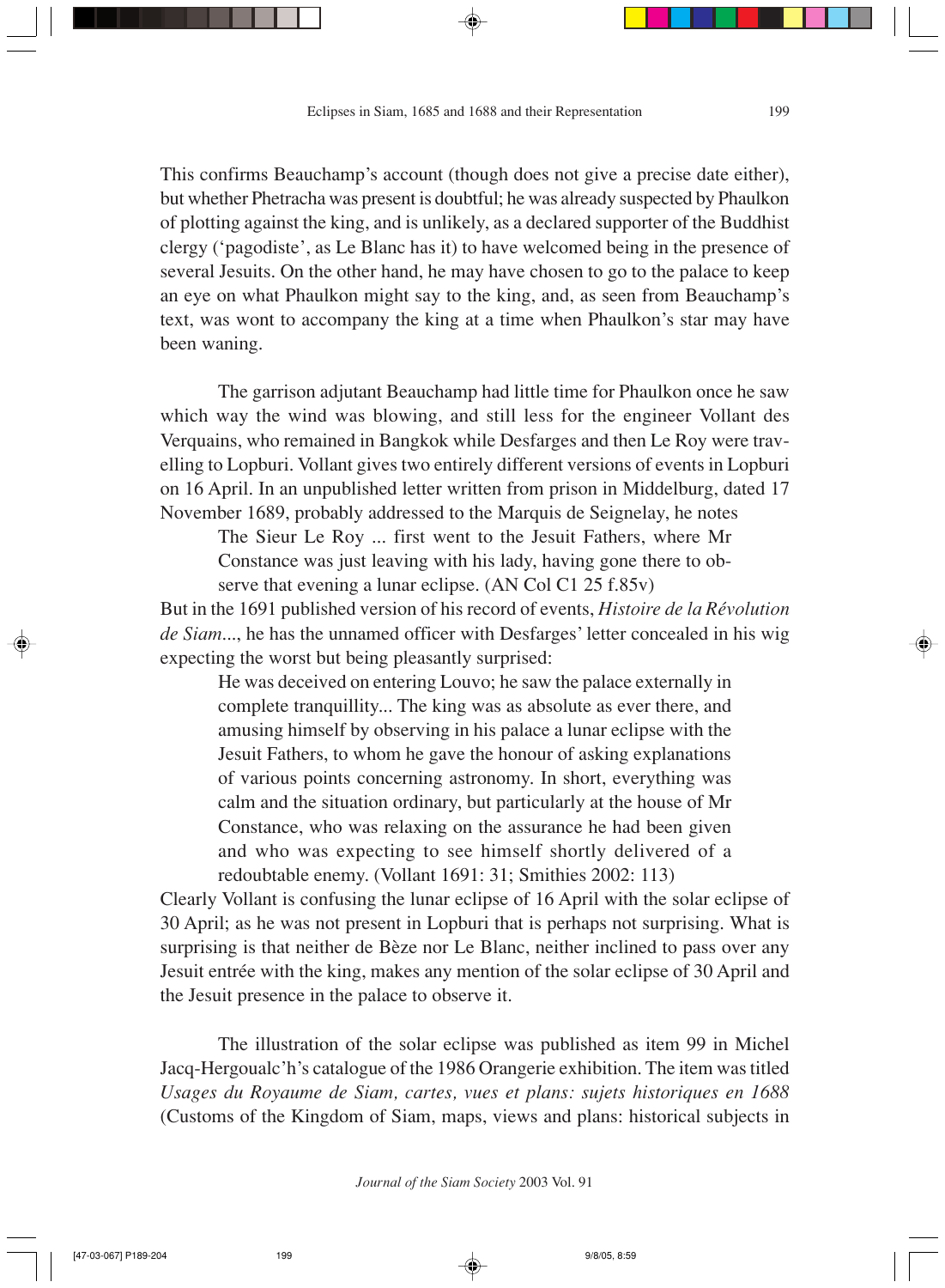This confirms Beauchamp's account (though does not give a precise date either), but whether Phetracha was present is doubtful; he was already suspected by Phaulkon of plotting against the king, and is unlikely, as a declared supporter of the Buddhist clergy ('pagodiste', as Le Blanc has it) to have welcomed being in the presence of several Jesuits. On the other hand, he may have chosen to go to the palace to keep an eye on what Phaulkon might say to the king, and, as seen from Beauchamp's text, was wont to accompany the king at a time when Phaulkon's star may have been waning.

The garrison adjutant Beauchamp had little time for Phaulkon once he saw which way the wind was blowing, and still less for the engineer Vollant des Verquains, who remained in Bangkok while Desfarges and then Le Roy were travelling to Lopburi. Vollant gives two entirely different versions of events in Lopburi on 16 April. In an unpublished letter written from prison in Middelburg, dated 17 November 1689, probably addressed to the Marquis de Seignelay, he notes

The Sieur Le Roy ... first went to the Jesuit Fathers, where Mr Constance was just leaving with his lady, having gone there to observe that evening a lunar eclipse. (AN Col C1 25 f.85v)

But in the 1691 published version of his record of events, *Histoire de la Révolution de Siam*..., he has the unnamed officer with Desfarges' letter concealed in his wig expecting the worst but being pleasantly surprised:

He was deceived on entering Louvo; he saw the palace externally in complete tranquillity... The king was as absolute as ever there, and amusing himself by observing in his palace a lunar eclipse with the Jesuit Fathers, to whom he gave the honour of asking explanations of various points concerning astronomy. In short, everything was calm and the situation ordinary, but particularly at the house of Mr Constance, who was relaxing on the assurance he had been given and who was expecting to see himself shortly delivered of a redoubtable enemy. (Vollant 1691: 31; Smithies 2002: 113)

Clearly Vollant is confusing the lunar eclipse of 16 April with the solar eclipse of 30 April; as he was not present in Lopburi that is perhaps not surprising. What is surprising is that neither de Bèze nor Le Blanc, neither inclined to pass over any Jesuit entrée with the king, makes any mention of the solar eclipse of 30 April and the Jesuit presence in the palace to observe it.

The illustration of the solar eclipse was published as item 99 in Michel Jacq-Hergoualc'h's catalogue of the 1986 Orangerie exhibition. The item was titled *Usages du Royaume de Siam, cartes, vues et plans: sujets historiques en 1688* (Customs of the Kingdom of Siam, maps, views and plans: historical subjects in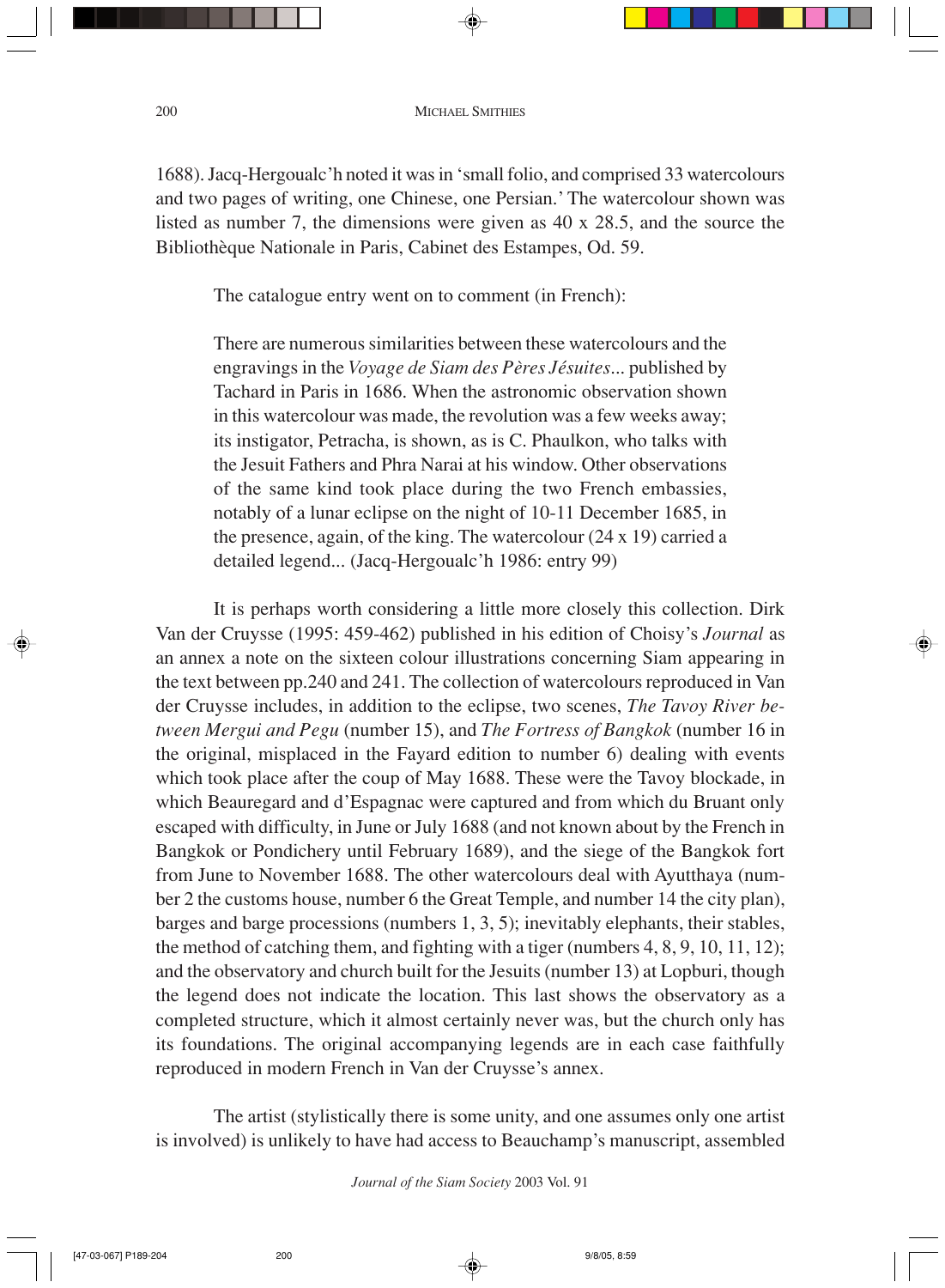200 MICHAEL SMITHIES

1688). Jacq-Hergoualc'h noted it was in 'small folio, and comprised 33 watercolours and two pages of writing, one Chinese, one Persian.' The watercolour shown was listed as number 7, the dimensions were given as 40 x 28.5, and the source the Bibliothèque Nationale in Paris, Cabinet des Estampes, Od. 59.

The catalogue entry went on to comment (in French):

There are numerous similarities between these watercolours and the engravings in the *Voyage de Siam des Pères Jésuites*... published by Tachard in Paris in 1686. When the astronomic observation shown in this watercolour was made, the revolution was a few weeks away; its instigator, Petracha, is shown, as is C. Phaulkon, who talks with the Jesuit Fathers and Phra Narai at his window. Other observations of the same kind took place during the two French embassies, notably of a lunar eclipse on the night of 10-11 December 1685, in the presence, again, of the king. The watercolour (24 x 19) carried a detailed legend... (Jacq-Hergoualc'h 1986: entry 99)

It is perhaps worth considering a little more closely this collection. Dirk Van der Cruysse (1995: 459-462) published in his edition of Choisy's *Journal* as an annex a note on the sixteen colour illustrations concerning Siam appearing in the text between pp.240 and 241. The collection of watercolours reproduced in Van der Cruysse includes, in addition to the eclipse, two scenes, *The Tavoy River between Mergui and Pegu* (number 15), and *The Fortress of Bangkok* (number 16 in the original, misplaced in the Fayard edition to number 6) dealing with events which took place after the coup of May 1688. These were the Tavoy blockade, in which Beauregard and d'Espagnac were captured and from which du Bruant only escaped with difficulty, in June or July 1688 (and not known about by the French in Bangkok or Pondichery until February 1689), and the siege of the Bangkok fort from June to November 1688. The other watercolours deal with Ayutthaya (number 2 the customs house, number 6 the Great Temple, and number 14 the city plan), barges and barge processions (numbers 1, 3, 5); inevitably elephants, their stables, the method of catching them, and fighting with a tiger (numbers 4, 8, 9, 10, 11, 12); and the observatory and church built for the Jesuits (number 13) at Lopburi, though the legend does not indicate the location. This last shows the observatory as a completed structure, which it almost certainly never was, but the church only has its foundations. The original accompanying legends are in each case faithfully reproduced in modern French in Van der Cruysse's annex.

The artist (stylistically there is some unity, and one assumes only one artist is involved) is unlikely to have had access to Beauchamp's manuscript, assembled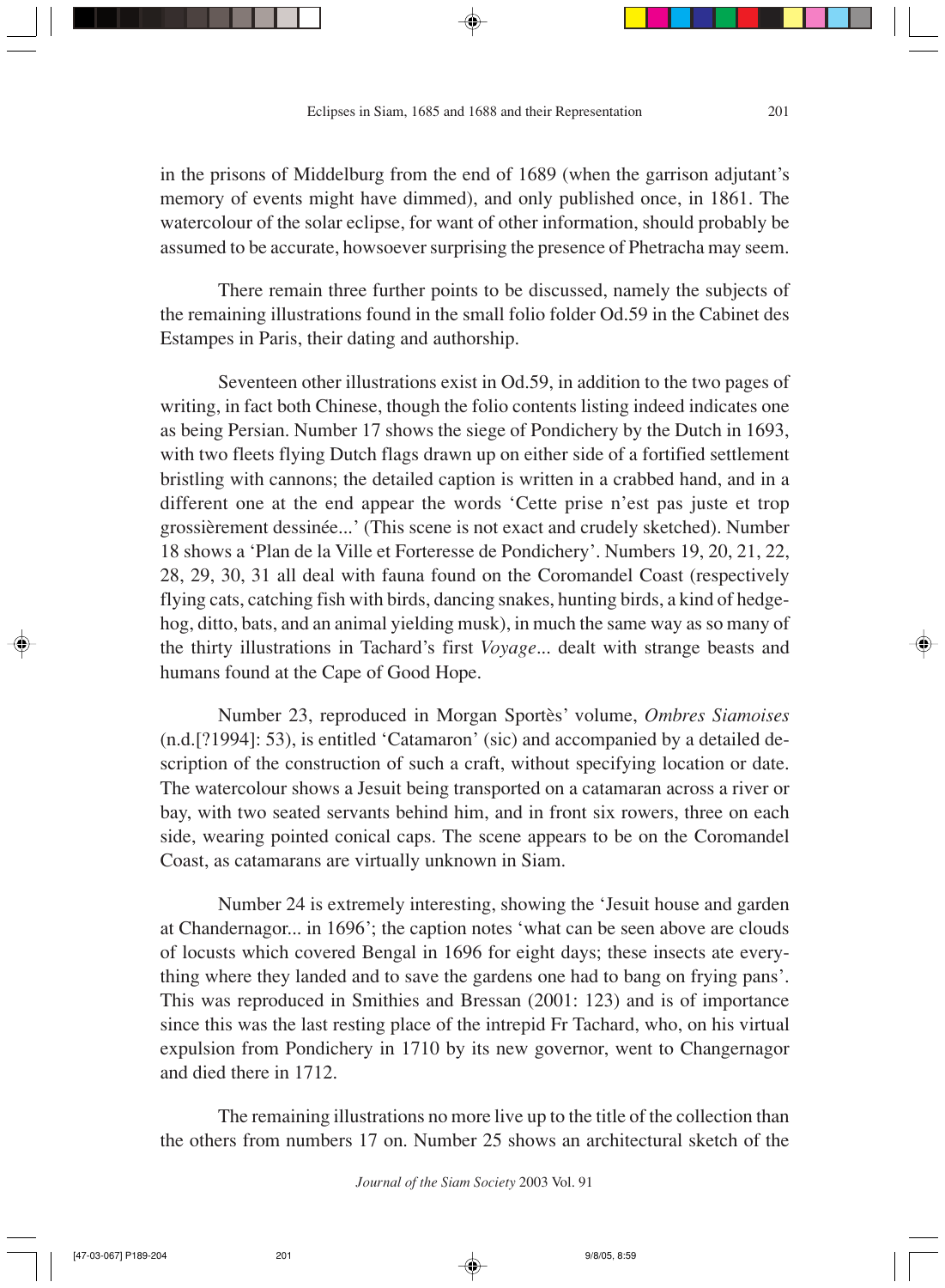#### Eclipses in Siam, 1685 and 1688 and their Representation 201

in the prisons of Middelburg from the end of 1689 (when the garrison adjutant's memory of events might have dimmed), and only published once, in 1861. The watercolour of the solar eclipse, for want of other information, should probably be assumed to be accurate, howsoever surprising the presence of Phetracha may seem.

There remain three further points to be discussed, namely the subjects of the remaining illustrations found in the small folio folder Od.59 in the Cabinet des Estampes in Paris, their dating and authorship.

Seventeen other illustrations exist in Od.59, in addition to the two pages of writing, in fact both Chinese, though the folio contents listing indeed indicates one as being Persian. Number 17 shows the siege of Pondichery by the Dutch in 1693, with two fleets flying Dutch flags drawn up on either side of a fortified settlement bristling with cannons; the detailed caption is written in a crabbed hand, and in a different one at the end appear the words 'Cette prise n'est pas juste et trop grossièrement dessinée...' (This scene is not exact and crudely sketched). Number 18 shows a 'Plan de la Ville et Forteresse de Pondichery'. Numbers 19, 20, 21, 22, 28, 29, 30, 31 all deal with fauna found on the Coromandel Coast (respectively flying cats, catching fish with birds, dancing snakes, hunting birds, a kind of hedgehog, ditto, bats, and an animal yielding musk), in much the same way as so many of the thirty illustrations in Tachard's first *Voyage*... dealt with strange beasts and humans found at the Cape of Good Hope.

Number 23, reproduced in Morgan Sportès' volume, *Ombres Siamoises* (n.d.[?1994]: 53), is entitled 'Catamaron' (sic) and accompanied by a detailed description of the construction of such a craft, without specifying location or date. The watercolour shows a Jesuit being transported on a catamaran across a river or bay, with two seated servants behind him, and in front six rowers, three on each side, wearing pointed conical caps. The scene appears to be on the Coromandel Coast, as catamarans are virtually unknown in Siam.

Number 24 is extremely interesting, showing the 'Jesuit house and garden at Chandernagor... in 1696'; the caption notes 'what can be seen above are clouds of locusts which covered Bengal in 1696 for eight days; these insects ate everything where they landed and to save the gardens one had to bang on frying pans'. This was reproduced in Smithies and Bressan (2001: 123) and is of importance since this was the last resting place of the intrepid Fr Tachard, who, on his virtual expulsion from Pondichery in 1710 by its new governor, went to Changernagor and died there in 1712.

The remaining illustrations no more live up to the title of the collection than the others from numbers 17 on. Number 25 shows an architectural sketch of the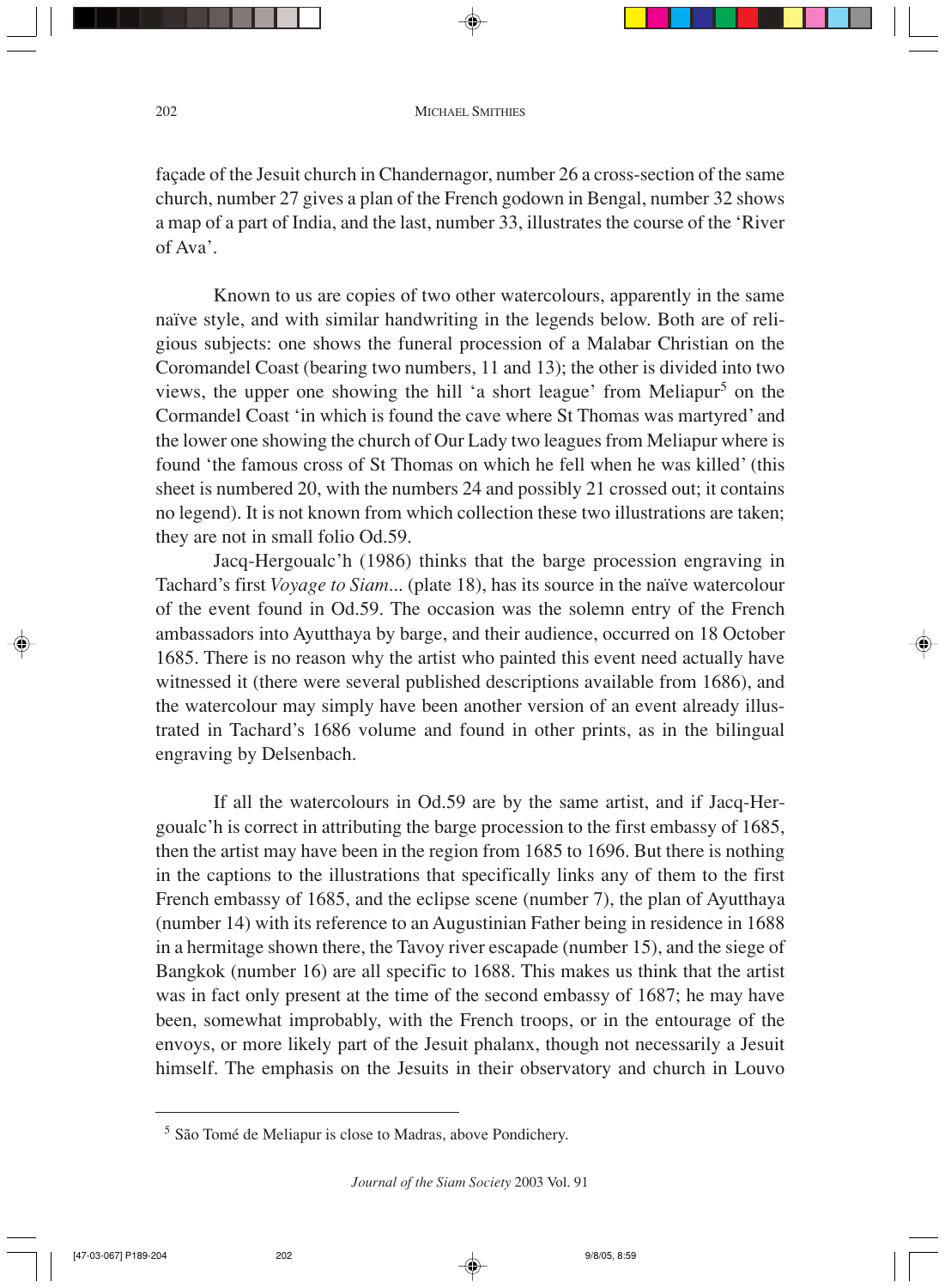façade of the Jesuit church in Chandernagor, number 26 a cross-section of the same church, number 27 gives a plan of the French godown in Bengal, number 32 shows a map of a part of India, and the last, number 33, illustrates the course of the 'River of Ava'.

Known to us are copies of two other watercolours, apparently in the same naïve style, and with similar handwriting in the legends below. Both are of religious subjects: one shows the funeral procession of a Malabar Christian on the Coromandel Coast (bearing two numbers, 11 and 13); the other is divided into two views, the upper one showing the hill 'a short league' from Meliapur<sup>5</sup> on the Cormandel Coast 'in which is found the cave where St Thomas was martyred' and the lower one showing the church of Our Lady two leagues from Meliapur where is found 'the famous cross of St Thomas on which he fell when he was killed' (this sheet is numbered 20, with the numbers 24 and possibly 21 crossed out; it contains no legend). It is not known from which collection these two illustrations are taken; they are not in small folio Od.59.

Jacq-Hergoualc'h (1986) thinks that the barge procession engraving in Tachard's first *Voyage to Siam*... (plate 18), has its source in the naïve watercolour of the event found in Od.59. The occasion was the solemn entry of the French ambassadors into Ayutthaya by barge, and their audience, occurred on 18 October 1685. There is no reason why the artist who painted this event need actually have witnessed it (there were several published descriptions available from 1686), and the watercolour may simply have been another version of an event already illustrated in Tachard's 1686 volume and found in other prints, as in the bilingual engraving by Delsenbach.

If all the watercolours in Od.59 are by the same artist, and if Jacq-Hergoualc'h is correct in attributing the barge procession to the first embassy of 1685, then the artist may have been in the region from 1685 to 1696. But there is nothing in the captions to the illustrations that specifically links any of them to the first French embassy of 1685, and the eclipse scene (number 7), the plan of Ayutthaya (number 14) with its reference to an Augustinian Father being in residence in 1688 in a hermitage shown there, the Tavoy river escapade (number 15), and the siege of Bangkok (number 16) are all specific to 1688. This makes us think that the artist was in fact only present at the time of the second embassy of 1687; he may have been, somewhat improbably, with the French troops, or in the entourage of the envoys, or more likely part of the Jesuit phalanx, though not necessarily a Jesuit himself. The emphasis on the Jesuits in their observatory and church in Louvo

<sup>5</sup> São Tomé de Meliapur is close to Madras, above Pondichery.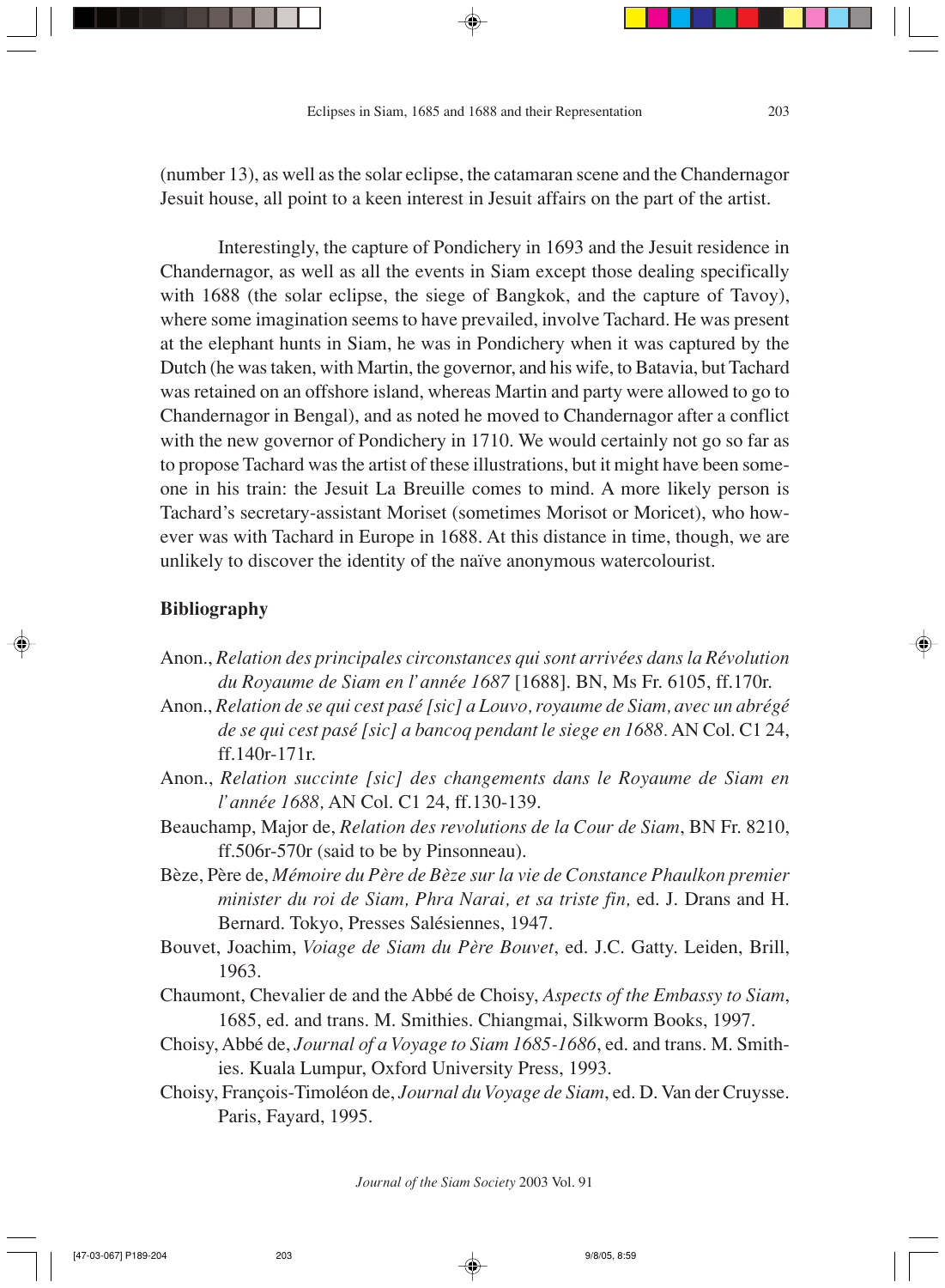(number 13), as well as the solar eclipse, the catamaran scene and the Chandernagor Jesuit house, all point to a keen interest in Jesuit affairs on the part of the artist.

Interestingly, the capture of Pondichery in 1693 and the Jesuit residence in Chandernagor, as well as all the events in Siam except those dealing specifically with 1688 (the solar eclipse, the siege of Bangkok, and the capture of Tavoy), where some imagination seems to have prevailed, involve Tachard. He was present at the elephant hunts in Siam, he was in Pondichery when it was captured by the Dutch (he was taken, with Martin, the governor, and his wife, to Batavia, but Tachard was retained on an offshore island, whereas Martin and party were allowed to go to Chandernagor in Bengal), and as noted he moved to Chandernagor after a conflict with the new governor of Pondichery in 1710. We would certainly not go so far as to propose Tachard was the artist of these illustrations, but it might have been someone in his train: the Jesuit La Breuille comes to mind. A more likely person is Tachard's secretary-assistant Moriset (sometimes Morisot or Moricet), who however was with Tachard in Europe in 1688. At this distance in time, though, we are unlikely to discover the identity of the naïve anonymous watercolourist.

### **Bibliography**

- Anon., *Relation des principales circonstances qui sont arrivées dans la Révolution du Royaume de Siam en l'année 1687* [1688]. BN, Ms Fr. 6105, ff.170r.
- Anon., *Relation de se qui cest pasé [sic] a Louvo, royaume de Siam, avec un abrégé de se qui cest pasé [sic] a bancoq pendant le siege en 1688.* AN Col. C1 24, ff.140r-171r.
- Anon., *Relation succinte [sic] des changements dans le Royaume de Siam en l'année 1688,* AN Col. C1 24, ff.130-139.
- Beauchamp, Major de, *Relation des revolutions de la Cour de Siam*, BN Fr. 8210, ff.506r-570r (said to be by Pinsonneau).
- Bèze, Père de, *Mémoire du Père de Bèze sur la vie de Constance Phaulkon premier minister du roi de Siam, Phra Narai, et sa triste fin,* ed. J. Drans and H. Bernard. Tokyo, Presses Salésiennes, 1947.
- Bouvet, Joachim, *Voiage de Siam du Père Bouvet*, ed. J.C. Gatty. Leiden, Brill, 1963.
- Chaumont, Chevalier de and the Abbé de Choisy, *Aspects of the Embassy to Siam*, 1685, ed. and trans. M. Smithies. Chiangmai, Silkworm Books, 1997.
- Choisy, Abbé de, *Journal of a Voyage to Siam 1685-1686*, ed. and trans. M. Smithies. Kuala Lumpur, Oxford University Press, 1993.
- Choisy, François-Timoléon de, *Journal du Voyage de Siam*, ed. D. Van der Cruysse. Paris, Fayard, 1995.